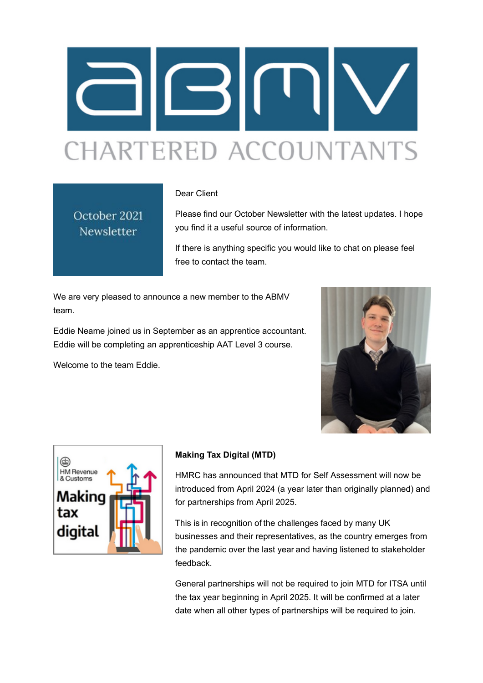

#### Dear Client

# October 2021 Newsletter

Please find our October Newsletter with the latest updates. I hope you find it a useful source of information.

If there is anything specific you would like to chat on please feel free to contact the team.

We are very pleased to announce a new member to the ABMV team.

Eddie Neame joined us in September as an apprentice accountant. Eddie will be completing an apprenticeship AAT Level 3 course.

Welcome to the team Eddie.





### **Making Tax Digital (MTD)**

HMRC has announced that MTD for Self Assessment will now be introduced from April 2024 (a year later than originally planned) and for partnerships from April 2025.

This is in recognition of the challenges faced by many UK businesses and their representatives, as the country emerges from the pandemic over the last year and having listened to stakeholder feedback.

General partnerships will not be required to join MTD for ITSA until the tax year beginning in April 2025. It will be confirmed at a later date when all other types of partnerships will be required to join.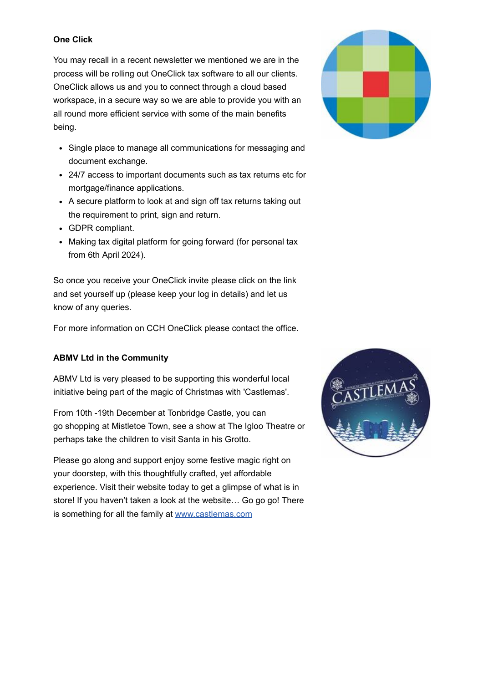#### **One Click**

You may recall in a recent newsletter we mentioned we are in the process will be rolling out OneClick tax software to all our clients. OneClick allows us and you to connect through a cloud based workspace, in a secure way so we are able to provide you with an all round more efficient service with some of the main benefits being.

- Single place to manage all communications for messaging and document exchange.
- 24/7 access to important documents such as tax returns etc for mortgage/finance applications.
- A secure platform to look at and sign off tax returns taking out the requirement to print, sign and return.
- GDPR compliant.
- Making tax digital platform for going forward (for personal tax from 6th April 2024).

So once you receive your OneClick invite please click on the link and set yourself up (please keep your log in details) and let us know of any queries.

For more information on CCH OneClick please contact the office.

### **ABMV Ltd in the Community**

ABMV Ltd is very pleased to be supporting this wonderful local initiative being part of the magic of Christmas with 'Castlemas'.

From 10th -19th December at Tonbridge Castle, you can go shopping at Mistletoe Town, see a show at The Igloo Theatre or perhaps take the children to visit Santa in his Grotto.

Please go along and support enjoy some festive magic right on your doorstep, with this thoughtfully crafted, yet affordable experience. Visit their website today to get a glimpse of what is in store! If you haven't taken a look at the website… Go go go! There is something for all the family at [www.castlemas.com](http://www.castlemas.com/?fbclid=IwAR3n4W8wbiTSyBZ62b4awEy4TFN39H3cXR-GDdCjp37kUCc5SJ9iWIHjpyg)